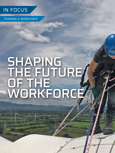

TRAINING & WORKFORCE

# SHAPING THE FUTURE OF THE WORKFORCE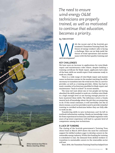Mexico. (Courtesy: Altitec)

*The need to ensure wind-energy O&M technicians are properly trained, as well as motivated to continue that education, becomes a priority.*

**By TOM DYFFORT** 

ith the recent end of the Scottish government's Transition Training Fund, the future of energy workers' jobs is facing a challenge. How can we help mold the future of wind operations and maintenance with the best quality t ernment's Transition Training Fund, the future of energy workers' jobs is facing a challenge. How can we help mold the future of wind operations and maintenance with the best quality training and skill development?

### KEY CHALLENGES

We have seen an increase in applications for rotor-blade repair and maintenance roles where, despite holding a training certificate for blade repair, applicants lack some of the basic skills we would expect from someone ready to work on a blade.

There is a wide range of rotor-blade repair and maintenance technician courses in the market teaching the skills necessary to transition into the wind sector. But as a service provider, as well as a training provider, Altitec has had to send a number of technicians qualified in blade repair and maintenance "back to school" in recent months.

The issue isn't just about one or two people not having absorbed the skills needed to work on a turbine rotor blade to a high enough level or not having enough practice to have mastered these skills. The deficiency covers a fundamental lack of knowledge about the job they are preparing to do. If this trend continues, it will inevitably cost the industry money, as service providers need to provide remedial training to certified technicians before they are fully able to work on site.

Transferring skills to new technicians can't be left to textbook information soaking. Hands-on knowledge transfer from experienced technicians and blade engineers with years of up-tower experience will lead to a greater level of competence among new technicians.

## A LACK OF FUNDING

The closing of the Scottish government's Training Transition Fund in March 2019 shows the need for continued support for skilled workers eager to develop careers in the renewable energy industry. While this funding for training is scheduled to end, the demand from skilled workers to transition to sustainable careers in the renewables sector will not.

Altitec technician Ewa Pilch in<br>Since 2016, the Transition Training Fund has helped Scot-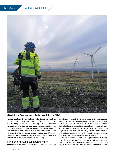# IN FOCUS **TRAINING & WORKFORCE**



Altitec technician Marcin Walukiewicz in Northern Ireland. (Courtesy: Altitec)

tish residents in the oil and gas sector to retrain in other sectors. The fund will close at the end of March, or when the  $£12$  million ( $$15.76$  million) of funding runs out — whichever comes first. Re-training for a career in a sustainable sector like the wind-energy industry is not a small investment for the average worker. The cost of a training course and subsistence during the course can be more than a month's salary. However, the prospective pay-off — new skills to apply to a career in a sustainable sector — is appealing.

#### FUNDING A GROWING WIND WORKFORCE

One of the three main ways training is funded is through

direct-cash payments from the trainee to the training provider. However, this is not always the best way to get people into the industry. While we love the stories of how our most dedicated technicians got into the industry by eating beans and sleeping in their vans to pay for their rotor-blade training course, this won't realistically attract the number of technicians needed to ensure the smooth running of wind farms around the world as the industry grows.

Where trainees are not able to provide full funding immediately, there are loan systems from trainers or loan companies. But these, of course, have their associated challenges. Trainers, even if they can reach a repayment agree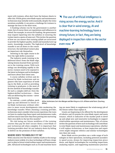ment with trainees, often don't have the balance sheets to offer this. While given rotor-blade repair and maintenance technicians may initially work seasonally, despite the remunerations available, it can prove a challenge for trainees to manage the loan in the short term.

A funding scheme run by the government is another route, but of course there are regulations and influences involved. For example, in return for funding, the government may request inputting into the syllabus or ensuring the trainer meets a quota of some sort. This invites the question of how we can ensure that training syllabi are structured to provide the highest quality, model and manufacturer-agnostic, knowledge transfer. The high-level of knowledge

transfer is not all down to the course structure, the individual trainers play an important role themselves.

Investing in the right course to deliver the right skills is essential.

The industry needs training to be delivered direct from the blade edge, taking lessons learned from up-tower on to the training course. With technology use developing rapidly in the sector, trainees need to be exposed to the latest techniques and technologies and learn about their latest uses.

A course syllabus written and delivered by blade technicians and engineers who have experience of working in the field, as well as providing training to graduates, is the most effective method of knowledge transfer for such a complex skill set. Even the highest-skilled technicians — those who are delivering the courses — never stop learning.

In contrast, a static syllabus, packaged up and delivered to future rotor-blade technicians without refer-

ence to more recent developments risks weakening the knowledge transfer. When choosing a training provider, technicians must consider what recent experience the trainers have in conducting these repair and maintenance tasks, and how much time have they been putting into nurturing their own skills in the last few months?

We risk losing our future workforce if the training courses they pay for don't secure them a rotor-blade repair technician job when complete. It is important that training providers don't let our industry down by failing to deliver on the promises of their syllabus.

#### WHERE DOES TECHNOLOGY FIT IN?

With concerns over the future viability of jobs in the energy industry more widely, it is clear technology will have a large part to play in future wind-turbine repair and maintenance jobs. Advanced technologies such as AI and machine learn-

The use of artificial intelligence is rising across the energy sector. And it is clear that in wind energy, AI and machine-learning technology have a strong future; in fact, they are being deployed in inspection roles in the sector even now.



Altitec technicians Cerri-Ann Morgan and Ben King on a U.K. offshore wind farm. (Courtesy: Altitec)

> ing are more likely to supplement the wind-energy job of the future rather than replace it.

> Grants are beginning to be offered for the development of robotics and AI systems for rotor-blade repair and maintenance, which is indicative of the market push to develop and adopt new and innovative technologies to support wind-turbine operations and maintenance. This, of course, invites the question of how such technology will contribute to rotor blade repair and maintenance operations, whether it will replace technicians, or how inspection and repair crews might integrate robotics and similar technologies into their site work.

> Rotor blade service providers use a wide range of technologies in their operations, including powered ascenders to speed access, drones for improving inspection procedures, and digital technologies for recording inspections, analyzing repairs, and supporting maintenance practices